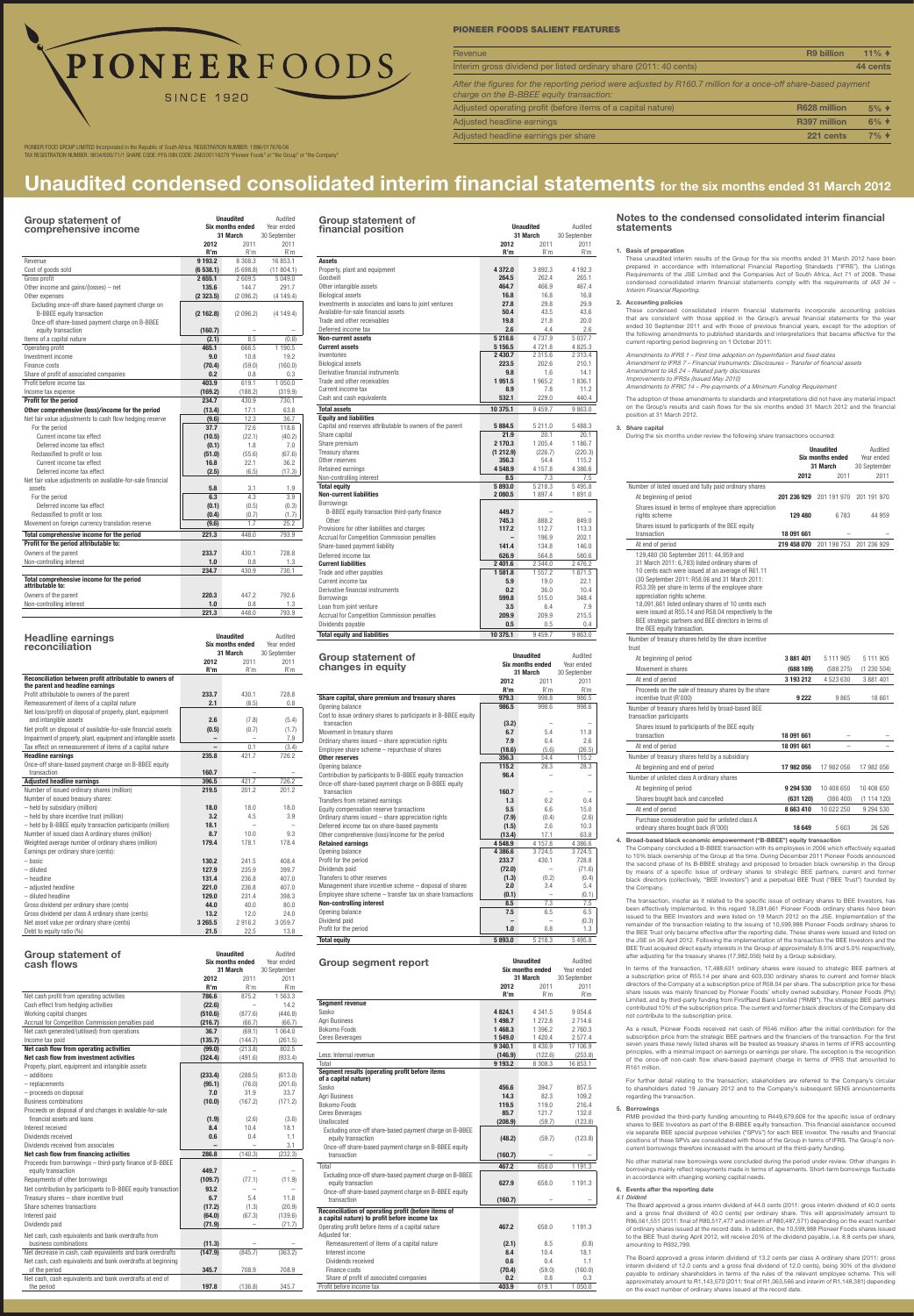| <b>Group statement of</b>                                     |           | <b>Unaudited</b>        | Audited      |
|---------------------------------------------------------------|-----------|-------------------------|--------------|
| comprehensive income                                          |           | <b>Six months ended</b> |              |
|                                                               |           | 31 March                | 30 September |
|                                                               | 2012      | 2011                    | 2011         |
|                                                               | R'm       | R'm                     | R'm          |
| Revenue                                                       | 9 1 9 3.2 | 8 308.3                 | 16 853.1     |
| Cost of goods sold                                            | (6538.1)  | (5698.8)                | (11804.1)    |
| Gross profit                                                  | 2655.1    | 2609.5                  | 5 049.0      |
| Other income and gains/(losses) – net                         | 135.6     | 144.7                   | 291.7        |
| Other expenses                                                | (2323.5)  | (2 096.2)               | (4149.4)     |
| Excluding once-off share-based payment charge on              |           |                         |              |
| <b>B-BBEE equity transaction</b>                              | (2162.8)  | (2 096.2)               | (4149.4)     |
| Once-off share-based payment charge on B-BBEE                 |           |                         |              |
| equity transaction                                            | (160.7)   |                         |              |
| Items of a capital nature                                     | (2.1)     | 8.5                     | (0.8)        |
| Operating profit                                              | 465.1     | 666.5                   | 1 190.5      |
| Investment income                                             | 9.0       | 10.8                    | 19.2         |
| Finance costs                                                 | (70.4)    | (59.0)                  | (160.0)      |
| Share of profit of associated companies                       | 0.2       | 0.8                     | 0.3          |
| Profit before income tax                                      | 403.9     | 619.1                   | 1 050.0      |
| Income tax expense                                            | (169.2)   | (188.2)                 | (319.9)      |
| Profit for the period                                         | 234.7     | 430.9                   | 730.1        |
| Other comprehensive (loss)/income for the period              | (13.4)    | 17.1                    | 63.8         |
| Net fair value adjustments to cash flow hedging reserve       | (9.6)     | 12.3                    | 36.7         |
| For the period                                                | 37.7      | 72.6                    | 118.6        |
| Current income tax effect                                     | (10.5)    | (22.1)                  | (40.2)       |
| Deferred income tax effect                                    | (0.1)     | 1.8                     | 7.0          |
| Reclassified to profit or loss                                | (51.0)    | (55.6)                  | (67.6)       |
| Current income tax effect                                     | 16.8      | 22.1                    | 36.2         |
| Deferred income tax effect                                    | (2.5)     | (6.5)                   | (17.3)       |
| Net fair value adjustments on available-for-sale financial    |           |                         |              |
| assets                                                        | 5.8       | 3.1                     | 1.9          |
| For the period                                                | 6.3       | 4.3                     | 3.9          |
| Deferred income tax effect                                    | (0.1)     | (0.5)                   | (0.3)        |
| Reclassified to profit or loss                                | (0.4)     | (0.7)                   | (1.7)        |
| Movement on foreign currency translation reserve              | (9.6)     | 1.7                     | 25.2         |
|                                                               |           |                         |              |
| Total comprehensive income for the period                     | 221.3     | 448.0                   | 793.9        |
| Profit for the period attributable to:                        |           |                         |              |
| Owners of the parent                                          | 233.7     | 430.1                   | 728.8        |
| Non-controlling interest                                      | 1.0       | 0.8                     | 1.3          |
|                                                               | 234.7     | 430.9                   | 730.1        |
| Total comprehensive income for the period<br>attributable to: |           |                         |              |
| Owners of the parent                                          | 220.3     | 447.2                   | 792.6        |
| Non-controlling interest                                      | 1.0       | 0.8                     | 1.3          |
|                                                               | 221.3     | 448.0                   | 793.9        |
|                                                               |           |                         |              |
| <b>Headline earnings</b>                                      |           | <b>Unaudited</b>        | Audited      |

| reconciliation                                                 | <b>Six months ended</b> |          | Year ended   |
|----------------------------------------------------------------|-------------------------|----------|--------------|
|                                                                |                         | 31 March | 30 September |
|                                                                | 2012                    | 2011     | 2011         |
|                                                                | R'm                     | R'm      | R'm          |
| Reconciliation between profit attributable to owners of        |                         |          |              |
| the parent and headline earnings                               |                         |          |              |
| Profit attributable to owners of the parent                    | 233.7                   | 430.1    | 728.8        |
| Remeasurement of items of a capital nature                     | 2.1                     | (8.5)    | 0.8          |
| Net loss/(profit) on disposal of property, plant, equipment    |                         |          |              |
| and intangible assets                                          | 2.6                     | (7.8)    | (5.4)        |
| Net profit on disposal of available-for-sale financial assets  | (0.5)                   | (0.7)    | (1.7)        |
| Impairment of property, plant, equipment and intangible assets | -                       | -        | 7.9          |
| Tax effect on remeasurement of items of a capital nature       |                         | 0.1      | (3.4)        |
| <b>Headline earnings</b>                                       | 235.8                   | 421.7    | 726.2        |
| Once-off share-based payment charge on B-BBEE equity           |                         |          |              |
| transaction                                                    | 160.7                   |          |              |
| <b>Adjusted headline earnings</b>                              | 396.5                   | 421.7    | 726.2        |
| Number of issued ordinary shares (million)                     | 219.5                   | 201.2    | 201.2        |
| Number of issued treasury shares:                              |                         |          |              |
| - held by subsidiary (million)                                 | 18.0                    | 18.0     | 18.0         |
| - held by share incentive trust (million)                      | 3.2                     | 4.5      | 3.9          |
| - held by B-BBEE equity transaction participants (million)     | 18.1                    |          |              |
| Number of issued class A ordinary shares (million)             | 8.7                     | 10.0     | 9.3          |
| Weighted average number of ordinary shares (million)           | 179.4                   | 178.1    | 178.4        |
| Earnings per ordinary share (cents):                           |                         |          |              |
| - basic                                                        | 130.2                   | 241.5    | 408.4        |
| - diluted                                                      | 127.9                   | 235.9    | 399.7        |
| $-$ headline                                                   | 131.4                   | 236.8    | 407.0        |
| - adiusted headline                                            | 221.0                   | 236.8    | 407.0        |
| - diluted headline                                             | 129.0                   | 231.4    | 398.3        |
| Gross dividend per ordinary share (cents)                      | 44.0                    | 40.0     | 80.0         |
| Gross dividend per class A ordinary share (cents)              | 13.2                    | 12.0     | 24.0         |
| Net asset value per ordinary share (cents)                     | 3 2 6 5 .5              | 2916.2   | 3 0 5 9.7    |
| Debt to equity ratio (%)                                       | 21.5                    | 22.5     | 13.8         |

| Group statement of                                            |         | <b>Unaudited</b>        |              |
|---------------------------------------------------------------|---------|-------------------------|--------------|
| cash flows                                                    |         | <b>Six months ended</b> | Year ended   |
|                                                               |         | 31 March                | 30 September |
|                                                               | 2012    | 2011                    | 2011         |
|                                                               | R'm     | R'm                     | R'm          |
| Net cash profit from operating activities                     | 786.6   | 875.2                   | 1 563.3      |
| Cash effect from hedging activities                           | (22.6)  | $\qquad \qquad -$       | 14.2         |
| Working capital changes                                       | (510.6) | (877.6)                 | (446.8)      |
| Accrual for Competition Commission penalties paid             | (216.7) | (66.7)                  | (66.7)       |
| Net cash generated/(utilised) from operations                 | 36.7    | (69.1)                  | 1 0 64.0     |
| Income tax paid                                               | (135.7) | (144.7)                 | (261.5)      |
| Net cash flow from operating activities                       | (99.0)  | (213.8)                 | 802.5        |
| Net cash flow from investment activities                      | (324.4) | (491.6)                 | (933.4)      |
| Property, plant, equipment and intangible assets              |         |                         |              |
| - additions                                                   | (233.4) | (288.5)                 | (613.0)      |
| - replacements                                                | (95.1)  | (76.0)                  | (201.6)      |
| - proceeds on disposal                                        | 7.0     | 31.9                    | 33.7         |
| <b>Business combinations</b>                                  | (10.0)  | (167.2)                 | (171.2)      |
| Proceeds on disposal of and changes in available-for-sale     |         |                         |              |
| financial assets and loans                                    | (1.9)   | (2.6)                   | (3.6)        |
| Interest received                                             | 8.4     | 10.4                    | 18.1         |
| Dividends received                                            | 0.6     | 0.4                     | 1.1          |
| Dividends received from associates                            |         |                         | 3.1          |
| Net cash flow from financing activities                       | 286.8   | (140.3)                 | (232.3)      |
| Proceeds from borrowings - third-party finance of B-BBEE      |         |                         |              |
| equity transaction                                            | 449.7   |                         |              |
| Repayments of other borrowings                                | (109.7) | (77.1)                  | (11.9)       |
| Net contribution by participants to B-BBEE equity transaction | 93.2    |                         |              |
| Treasury shares - share incentive trust                       | 6.7     | 5.4                     | 11.8         |
| Share schemes transactions                                    | (17.2)  | (1.3)                   | (20.9)       |
| Interest paid                                                 | (64.0)  | (67.3)                  | (139.6)      |
| Dividends paid                                                | (71.9)  | -                       | (71.7)       |
|                                                               |         |                         |              |
| Net cash, cash equivalents and bank overdrafts from           |         |                         |              |
| business combinations                                         | (11.3)  |                         |              |
| Net decrease in cash, cash equivalents and bank overdrafts    | (147.9) | (845.7)                 | (363.2)      |
| Net cash, cash equivalents and bank overdrafts at beginning   |         |                         |              |
| of the period                                                 | 345.7   | 708.9                   | 708.9        |
| Net cash, cash equivalents and bank overdrafts at end of      |         |                         |              |
| the period                                                    | 197.8   | (136.8)                 | 345.7        |

PIONEER FOOD GROUP LIMITED Incorporated in the Republic of South Africa REGISTRATION NUMBER: 1996/017676/06 TAX Registration number: 9834/695/71/1 Share code: PFG ISIN code: ZAE000118279 "Pioneer Foods" or "the Group" or "the Company"

| <b>Group statement of</b>                                     |                |                         |              |
|---------------------------------------------------------------|----------------|-------------------------|--------------|
| financial position                                            |                | <b>Unaudited</b>        | Audited      |
|                                                               |                | 31 March                | 30 September |
|                                                               | 2012           | 2011                    | 2011         |
|                                                               | R'm            | R'm                     | R'm          |
| <b>Assets</b>                                                 |                |                         |              |
| Property, plant and equipment                                 | 4 3 7 2.0      | 3892.3                  | 4 192.3      |
| Goodwill                                                      | 264.5          | 262.4                   | 265.1        |
| Other intangible assets                                       | 464.7          | 466.9                   | 467.4        |
| <b>Biological assets</b>                                      | 16.8           | 16.8                    | 16.8         |
| Investments in associates and loans to joint ventures         | 27.8           | 29.8                    | 29.9         |
| Available-for-sale financial assets                           | 50.4           | 43.5                    | 43.6         |
| Trade and other receivables                                   | 19.8           | 21.8                    | 20.0         |
| Deferred income tax                                           | 2.6            | 4.4                     | 2.6          |
| <b>Non-current assets</b>                                     | 5 218.6        | 4737.9                  | 5 0 3 7 . 7  |
| <b>Current assets</b>                                         | 5 1 5 6.5      | 4721.8                  | 4 825.3      |
| Inventories                                                   | 2 430.7        | 2 3 1 5 . 6             | 2 3 1 3 . 4  |
| <b>Biological assets</b>                                      | 223.5          | 202.6                   | 210.1        |
| Derivative financial instruments                              | 9.8            | 1.6                     | 14.1         |
| Trade and other receivables                                   | 1951.5         | 1965.2                  | 1836.1       |
| Current income tax                                            | 8.9            | 7.8                     | 11.2         |
| Cash and cash equivalents                                     | 532.1          | 229.0                   | 440.4        |
| <b>Total assets</b>                                           | 10 375.1       | 9459.7                  | 9863.0       |
| <b>Equity and liabilities</b>                                 |                |                         |              |
| Capital and reserves attributable to owners of the parent     | 5884.5         | 5 211.0                 | 5488.3       |
| Share capital                                                 | 21.9           | 20.1                    | 20.1         |
| Share premium                                                 | 2 170.3        | 1 205.4                 | 1 186.7      |
| Treasury shares                                               | (1 212.9)      | (226.7)                 | (220.3)      |
| Other reserves                                                | 356.3          | 54.4                    | 115.2        |
| Retained earnings                                             | 4 548.9        | 4 1 5 7 . 8             | 4 386.6      |
| Non-controlling interest                                      | 8.5            | 7.3                     | 7.5          |
| <b>Total equity</b>                                           | 5893.0         | 5 218.3                 | 5495.8       |
| <b>Non-current liabilities</b>                                | 2 080.5        | 1897.4                  | 1891.0       |
| Borrowings                                                    |                |                         |              |
| B-BBEE equity transaction third-party finance<br><b>Other</b> | 449.7<br>745.3 | 888.2                   |              |
|                                                               | 117.2          | 112.7                   | 849.0        |
| Provisions for other liabilities and charges                  |                |                         | 113.3        |
| <b>Accrual for Competition Commission penalties</b>           | 141.4          | 196.9                   | 202.1        |
| Share-based payment liability                                 |                | 134.8                   | 146.0        |
| Deferred income tax                                           | 626.9          | 564.8                   | 580.6        |
| <b>Current liabilities</b>                                    | 2 401.6        | 2 344.0<br>1 557.2      | 2 476.2      |
| Trade and other payables<br>Current income tax                | 1581.8         |                         | 1871.5       |
|                                                               | 5.9            | 19.0                    | 22.1         |
| Derivative financial instruments                              | 0.2            | 36.0                    | 10.4         |
| Borrowings                                                    | 599.8          | 515.0                   | 348.4        |
| Loan from joint venture                                       | 3.5            | 6.4                     | 7.9          |
| Accrual for Competition Commission penalties                  | 209.9          | 209.9                   | 215.5        |
| Dividends payable                                             | 0.5            | 0.5                     | 0.4          |
| <b>Total equity and liabilities</b>                           | 10 375.1       | 9459.7                  | 9863.0       |
|                                                               |                |                         |              |
| <b>Group statement of</b>                                     |                | <b>Unaudited</b>        | Audited      |
| changes in equity                                             |                | <b>Six months ended</b> | Year ended   |
|                                                               |                | 31 March                | 30 September |

|                                                                                                                                                                                                                                                                       | 2012          | 2011                                                    | 2011                                                                                                                                    |
|-----------------------------------------------------------------------------------------------------------------------------------------------------------------------------------------------------------------------------------------------------------------------|---------------|---------------------------------------------------------|-----------------------------------------------------------------------------------------------------------------------------------------|
|                                                                                                                                                                                                                                                                       | R'm           | R'm                                                     | R'm                                                                                                                                     |
| Share capital, share premium and treasury shares                                                                                                                                                                                                                      | 979.3         | 998.8                                                   | 986.5                                                                                                                                   |
| Opening balance                                                                                                                                                                                                                                                       | 986.5         | 998.6                                                   | 998.6                                                                                                                                   |
| Cost to issue ordinary shares to participants in B-BBEE equity<br>transaction                                                                                                                                                                                         |               |                                                         |                                                                                                                                         |
| Movement in treasury shares                                                                                                                                                                                                                                           | (3.2)<br>6.7  | 5.4                                                     | 11.8                                                                                                                                    |
| Ordinary shares issued - share appreciation rights                                                                                                                                                                                                                    | 7.9           | 0.4                                                     | 2.6                                                                                                                                     |
| Employee share scheme - repurchase of shares                                                                                                                                                                                                                          | (18.6)        | (5.6)                                                   | (26.5)                                                                                                                                  |
| Other reserves                                                                                                                                                                                                                                                        | 356.3         | 54.4                                                    | 115.2                                                                                                                                   |
| Opening balance                                                                                                                                                                                                                                                       | 115.2         | 28.3                                                    | 28.3                                                                                                                                    |
| Contribution by participants to B-BBEE equity transaction                                                                                                                                                                                                             | 96.4          |                                                         |                                                                                                                                         |
| Once-off share-based payment charge on B-BBEE equity                                                                                                                                                                                                                  |               |                                                         |                                                                                                                                         |
| transaction                                                                                                                                                                                                                                                           | 160.7         |                                                         |                                                                                                                                         |
| Transfers from retained earnings                                                                                                                                                                                                                                      | 1.3           | 0.2                                                     | 0.4                                                                                                                                     |
| Equity compensation reserve transactions                                                                                                                                                                                                                              | 5.5           | 6.6                                                     | 15.0                                                                                                                                    |
| Ordinary shares issued - share appreciation rights                                                                                                                                                                                                                    | (7.9)         | (0.4)                                                   | (2.6)                                                                                                                                   |
| Deferred income tax on share-based payments                                                                                                                                                                                                                           | (1.5)         | 2.6                                                     | 10.3                                                                                                                                    |
| Other comprehensive (loss)/income for the period                                                                                                                                                                                                                      | (13.4)        | 17.1                                                    | 63.8                                                                                                                                    |
| <b>Retained earnings</b>                                                                                                                                                                                                                                              | 4548.9        | 4 1 5 7 . 8                                             | 4 386.6                                                                                                                                 |
| Opening balance                                                                                                                                                                                                                                                       | 4 386.6       | 3724.5                                                  | 3724.5                                                                                                                                  |
| Profit for the period                                                                                                                                                                                                                                                 | 233.7         | 430.1                                                   | 728.8                                                                                                                                   |
| Dividends paid                                                                                                                                                                                                                                                        | (72.0)        | ÷                                                       | (71.6)                                                                                                                                  |
| Transfers to other reserves                                                                                                                                                                                                                                           | (1.3)         | (0.2)                                                   | (0.4)                                                                                                                                   |
| Management share incentive scheme - disposal of shares                                                                                                                                                                                                                | 2.0           | 3.4                                                     | 5.4                                                                                                                                     |
| Employee share scheme - transfer tax on share transactions                                                                                                                                                                                                            | (0.1)         | $\overline{\phantom{0}}$                                | (0.1)                                                                                                                                   |
| <b>Non-controlling interest</b>                                                                                                                                                                                                                                       | 8.5           | 7.3                                                     | 7.5                                                                                                                                     |
| Opening balance                                                                                                                                                                                                                                                       | 7.5           | 6.5                                                     | 6.5                                                                                                                                     |
| Dividend paid                                                                                                                                                                                                                                                         |               |                                                         | (0.3)                                                                                                                                   |
| Profit for the period                                                                                                                                                                                                                                                 | 1.0           | 0.8                                                     | 1.3                                                                                                                                     |
| <b>Total equity</b>                                                                                                                                                                                                                                                   | 5893.0        | 5 218.3                                                 | 5 4 9 5.8                                                                                                                               |
|                                                                                                                                                                                                                                                                       |               | <b>Unaudited</b><br><b>Six months ended</b><br>31 March | Audited<br>Year ended<br>30 September                                                                                                   |
|                                                                                                                                                                                                                                                                       | 2012<br>R'm   | 2011                                                    | 2011                                                                                                                                    |
|                                                                                                                                                                                                                                                                       |               | R'm                                                     | R'm                                                                                                                                     |
| <b>Group segment report</b><br><b>Segment revenue</b><br>Sasko                                                                                                                                                                                                        | 4 824.1       | 4 3 4 1 .5                                              |                                                                                                                                         |
| Agri Business                                                                                                                                                                                                                                                         | 1498.7        | 1 272.8                                                 |                                                                                                                                         |
| Bokomo Foods                                                                                                                                                                                                                                                          | 1468.3        | 1 396.2                                                 |                                                                                                                                         |
|                                                                                                                                                                                                                                                                       | 1 549.0       | 1 4 2 0.4                                               |                                                                                                                                         |
|                                                                                                                                                                                                                                                                       | 9 340.1       | 8 4 3 0.9                                               |                                                                                                                                         |
|                                                                                                                                                                                                                                                                       | (146.9)       | (122.6)                                                 |                                                                                                                                         |
| Total                                                                                                                                                                                                                                                                 | 9 193.2       | 8 308.3                                                 |                                                                                                                                         |
|                                                                                                                                                                                                                                                                       |               |                                                         |                                                                                                                                         |
|                                                                                                                                                                                                                                                                       |               |                                                         |                                                                                                                                         |
|                                                                                                                                                                                                                                                                       | 456.6<br>14.3 | 394.7<br>82.3                                           |                                                                                                                                         |
|                                                                                                                                                                                                                                                                       | 119.5         | 119.0                                                   |                                                                                                                                         |
|                                                                                                                                                                                                                                                                       | 85.7          | 121.7                                                   |                                                                                                                                         |
|                                                                                                                                                                                                                                                                       | (208.9)       | (59.7)                                                  |                                                                                                                                         |
| Excluding once-off share-based payment charge on B-BBEE                                                                                                                                                                                                               |               |                                                         |                                                                                                                                         |
| equity transaction                                                                                                                                                                                                                                                    | (48.2)        | (59.7)                                                  | 9 0 5 4 . 6<br>2714.6<br>2760.3<br>2 577.4<br>17 106.9<br>(253.8)<br>16 853.1<br>857.5<br>109.2<br>216.4<br>132.0<br>(123.8)<br>(123.8) |
| <b>Ceres Beverages</b><br>Less: Internal revenue<br>Segment results (operating profit before items<br>of a capital nature)<br>Sasko<br>Agri Business<br>Bokomo Foods<br><b>Ceres Beverages</b><br>Unallocated<br>Once-off share-based payment charge on B-BBEE equity |               |                                                         |                                                                                                                                         |
| transaction                                                                                                                                                                                                                                                           | (160.7)       |                                                         |                                                                                                                                         |
|                                                                                                                                                                                                                                                                       | 467.2         | 658.0                                                   |                                                                                                                                         |
| Excluding once-off share-based payment charge on B-BBEE                                                                                                                                                                                                               |               |                                                         |                                                                                                                                         |
| equity transaction                                                                                                                                                                                                                                                    | 627.9         | 658.0                                                   |                                                                                                                                         |
| Once-off share-based payment charge on B-BBEE equity                                                                                                                                                                                                                  |               |                                                         |                                                                                                                                         |
| transaction                                                                                                                                                                                                                                                           | (160.7)       |                                                         |                                                                                                                                         |
|                                                                                                                                                                                                                                                                       |               |                                                         |                                                                                                                                         |
|                                                                                                                                                                                                                                                                       |               |                                                         |                                                                                                                                         |
|                                                                                                                                                                                                                                                                       | 467.2         | 658.0                                                   |                                                                                                                                         |
|                                                                                                                                                                                                                                                                       |               |                                                         |                                                                                                                                         |
| Remeasurement of items of a capital nature                                                                                                                                                                                                                            | (2.1)         | 8.5                                                     |                                                                                                                                         |
| Interest income                                                                                                                                                                                                                                                       | 8.4           | 10.4                                                    |                                                                                                                                         |
| Total<br>Reconciliation of operating profit (before items of<br>a capital nature) to profit before income tax<br>Operating profit before items of a capital nature<br>Adjusted for:<br>Dividends received<br>Finance costs                                            | 0.6           | 0.4                                                     |                                                                                                                                         |
| Share of profit of associated companies                                                                                                                                                                                                                               | (70.4)<br>0.2 | (59.0)<br>0.8                                           | 1 191.3<br>1 191.3<br>1 191.3<br>(0.8)<br>18.1<br>1.1<br>(160.0)<br>0.3                                                                 |

# Unaudited condensed consolidated interim financial statements for the six months ended 31 March 2012

# 1. Basis of preparation

 These unaudited interim results of the Group for the six months ended 31 March 2012 have been prepared in accordance with International Financial Reporting Standards ("IFRS"), the Listings Requirements of the JSE Limited and the Companies Act of South Africa, Act 71 of 2008. These condensed consolidated interim financial statements comply with the requirements of IAS 34 -Interim Financial Reporting.

# 2. Accounting policies

 These condensed consolidated interim financial statements incorporate accounting policies that are consistent with those applied in the Group's annual financial statements for the year ended 30 September 2011 and with those of previous financial years, except for the adoption of the following amendments to published standards and interpretations that became effective for the current reporting period beginning on 1 October 2011:

Amendments to IFRS 1 – First time adoption on hyperinflation and fixed dates

Amendment to IFRS 7 – Financial Instruments: Disclosures – Transfer of financial assets Amendment to IAS 24 – Related party disclosures

Improvements to IFRSs (Issued May 2010)

Amendments to IFRIC 14 – Pre-payments of a Minimum Funding Requirement

 The adoption of these amendments to standards and interpretations did not have any material impact on the Group's results and cash flows for the six months ended 31 March 2012 and the financial position at 31 March 2012.

# 3. Share capital

During the six months under review the following share transactions occurred:

|                                                                                                                                                                                                                                                                                                                                                                                                                                                                                         | <b>Unaudited</b><br><b>Six months ended</b><br>31 March |             | Audited<br>Year ended<br>30 September |
|-----------------------------------------------------------------------------------------------------------------------------------------------------------------------------------------------------------------------------------------------------------------------------------------------------------------------------------------------------------------------------------------------------------------------------------------------------------------------------------------|---------------------------------------------------------|-------------|---------------------------------------|
|                                                                                                                                                                                                                                                                                                                                                                                                                                                                                         | 2012                                                    | 2011        | 2011                                  |
| Number of listed issued and fully paid ordinary shares                                                                                                                                                                                                                                                                                                                                                                                                                                  |                                                         |             |                                       |
| At beginning of period                                                                                                                                                                                                                                                                                                                                                                                                                                                                  | 201 236 929                                             | 201 191 970 | 201 191 970                           |
| Shares issued in terms of employee share appreciation                                                                                                                                                                                                                                                                                                                                                                                                                                   |                                                         |             |                                       |
| rights scheme                                                                                                                                                                                                                                                                                                                                                                                                                                                                           | 129 480                                                 | 6783        | 44 959                                |
| Shares issued to participants of the BEE equity                                                                                                                                                                                                                                                                                                                                                                                                                                         |                                                         |             |                                       |
| transaction                                                                                                                                                                                                                                                                                                                                                                                                                                                                             | 18 091 661                                              |             |                                       |
| At end of period                                                                                                                                                                                                                                                                                                                                                                                                                                                                        | 219 458 070                                             | 201 198 753 | 201 236 929                           |
| 129,480 (30 September 2011: 44,959 and<br>31 March 2011: 6,783) listed ordinary shares of<br>10 cents each were issued at an average of R61.11<br>(30 September 2011: R58.06 and 31 March 2011:<br>R53.39) per share in terms of the employee share<br>appreciation rights scheme.<br>18,091,661 listed ordinary shares of 10 cents each<br>were issued at R55.14 and R58.04 respectively to the<br>BEE strategic partners and BEE directors in terms of<br>the BEE equity transaction. |                                                         |             |                                       |
| Number of treasury shares held by the share incentive<br>trust                                                                                                                                                                                                                                                                                                                                                                                                                          |                                                         |             |                                       |
| At beginning of period                                                                                                                                                                                                                                                                                                                                                                                                                                                                  | 3 881 401                                               | 5 111 905   | 5 111 905                             |
| Movement in shares                                                                                                                                                                                                                                                                                                                                                                                                                                                                      | (688 189)                                               | (588 275)   | (1 230 504)                           |
| At end of period                                                                                                                                                                                                                                                                                                                                                                                                                                                                        | 3 193 212                                               | 4523630     | 3 881 401                             |
| Proceeds on the sale of treasury shares by the share<br>incentive trust (R'000)                                                                                                                                                                                                                                                                                                                                                                                                         | 9 2 2 2                                                 | 9865        | 18 661                                |
| Number of treasury shares held by broad-based BEE<br>transaction participants                                                                                                                                                                                                                                                                                                                                                                                                           |                                                         |             |                                       |
| Shares issued to participants of the BEE equity<br>transaction                                                                                                                                                                                                                                                                                                                                                                                                                          | 18 091 661                                              |             |                                       |
| At end of period                                                                                                                                                                                                                                                                                                                                                                                                                                                                        | 18 091 661                                              |             |                                       |
| Number of treasury shares held by a subsidiary                                                                                                                                                                                                                                                                                                                                                                                                                                          |                                                         |             |                                       |
| At beginning and end of period                                                                                                                                                                                                                                                                                                                                                                                                                                                          | 17 982 056                                              | 17 982 056  | 17 982 056                            |
| .                                                                                                                                                                                                                                                                                                                                                                                                                                                                                       |                                                         |             |                                       |

Number of unlisted class A ordinary shares

| At beginning of period                           | 9 294 530 | 10 408 650 | 10 408 650 |
|--------------------------------------------------|-----------|------------|------------|
| Shares bought back and cancelled                 | (631 120) | (386, 400) | (1114120)  |
| At end of period                                 | 8663410   | 10 022 250 | 9 294 530  |
| Purchase consideration paid for unlisted class A |           |            |            |
| ordinary shares bought back (R'000)              | 18 649    | 5603       | 26 526     |
|                                                  |           |            |            |

4. Broad-based black economic empowerment ("B-BBEE") equity transaction

 The Company concluded a B-BBEE transaction with its employees in 2006 which effectively equated to 10% black ownership of the Group at the time. During December 2011 Pioneer Foods announced the second phase of its B-BBEE strategy and proposed to broaden black ownership in the Group by means of a specific issue of ordinary shares to strategic BEE partners, current and former black directors (collectively, "BEE Investors") and a perpetual BEE Trust ("BEE Trust") founded by the Company.

 The transaction, insofar as it related to the specific issue of ordinary shares to BEE Investors, has been effectively implemented. In this regard 18,091,661 Pioneer Foods ordinary shares have been issued to the BEE Investors and were listed on 19 March 2012 on the JSE. Implementation of the remainder of the transaction relating to the issuing of 10,599,988 Pioneer Foods ordinary shares to the BEE Trust only became effective after the reporting date. These shares were issued and listed on the JSE on 26 April 2012. Following the implementation of the transaction the BEE Investors and the BEE Trust acquired direct equity interests in the Group of approximately 8.5% and 5.0% respectively, after adjusting for the treasury shares (17,982,056) held by a Group subsidiary.

 In terms of the transaction, 17,488,631 ordinary shares were issued to strategic BEE partners at a subscription price of R55.14 per share and 603,030 ordinary shares to current and former black directors of the Company at a subscription price of R58.04 per share. The subscription price for these share issues was mainly financed by Pioneer Foods' wholly owned subsidiary, Pioneer Foods (Pty) Limited, and by third-party funding from FirstRand Bank Limited ("RMB"). The strategic BEE partners contributed 10% of the subscription price. The current and former black directors of the Company did not contribute to the subscription price.

 As a result, Pioneer Foods received net cash of R546 million after the initial contribution for the subscription price from the strategic BEE partners and the financiers of the transaction. For the first seven years these newly listed shares will be treated as treasury shares in terms of IFRS accounting principles, with a minimal impact on earnings or earnings per share. The exception is the recognition of the once-off non-cash flow share-based payment charge in terms of IFRS that amounted to R161 million.

 For further detail relating to the transaction, stakeholders are referred to the Company's circular to shareholders dated 19 January 2012 and to the Company's subsequent SENS announcements regarding the transaction.

# 5. Borrowings

 RMB provided the third-party funding amounting to R449,679,606 for the specific issue of ordinary shares to BEE Investors as part of the B-BBEE equity transaction. This financial assistance occurred via separate BEE special purpose vehicles ("SPVs") for each BEE investor. The results and financial positions of these SPVs are consolidated with those of the Group in terms of IFRS. The Group's noncurrent borrowings therefore increased with the amount of the third-party funding.

 No other material new borrowings were concluded during the period under review. Other changes in borrowings mainly reflect repayments made in terms of agreements. Short-term borrowings fluctuate in accordance with changing working capital needs.

# 6. Events after the reporting date

# *6.1 Dividend*

 The Board approved a gross interim dividend of 44.0 cents (2011: gross interim dividend of 40.0 cents and a gross final dividend of 40.0 cents) per ordinary share. This will approximately amount to R96,561,551 (2011: final of R80,517,477 and interim of R80,487,571) depending on the exact number of ordinary shares issued at the record date. In addition, the 10,599,988 Pioneer Foods shares issued to the BEE Trust during April 2012, will receive 20% of the dividend payable, i.e. 8.8 cents per share, amounting to R932,799.

 The Board approved a gross interim dividend of 13.2 cents per class A ordinary share (2011: gross interim dividend of 12.0 cents and a gross final dividend of 12.0 cents), being 30% of the dividend payable to ordinary shareholders in terms of the rules of the relevant employee scheme. This will approximately amount to R1,143,570 (2011: final of R1,063,566 and interim of R1,148,381) depending on the exact number of ordinary shares issued at the record date.

# Notes to the condensed consolidated interim financial statements

# **PIONEERFOODS SINCE 1920**

# Pioneer foods salient features

| <b>Revenue</b>                                                                                                                                            | <b>R9 billion</b>   | $11\% +$ |
|-----------------------------------------------------------------------------------------------------------------------------------------------------------|---------------------|----------|
| Interim gross dividend per listed ordinary share (2011: 40 cents)                                                                                         |                     | 44 cents |
| After the figures for the reporting period were adjusted by R160.7 million for a once-off share-based payment<br>charge on the B-BBEE equity transaction: |                     |          |
| Adjusted operating profit (before items of a capital nature)                                                                                              | R628 million        | $5\% +$  |
| Adjusted headline earnings                                                                                                                                | <b>R397 million</b> | $6% +$   |
| Adjusted headline earnings per share                                                                                                                      | 221 cents           | $7\% +$  |